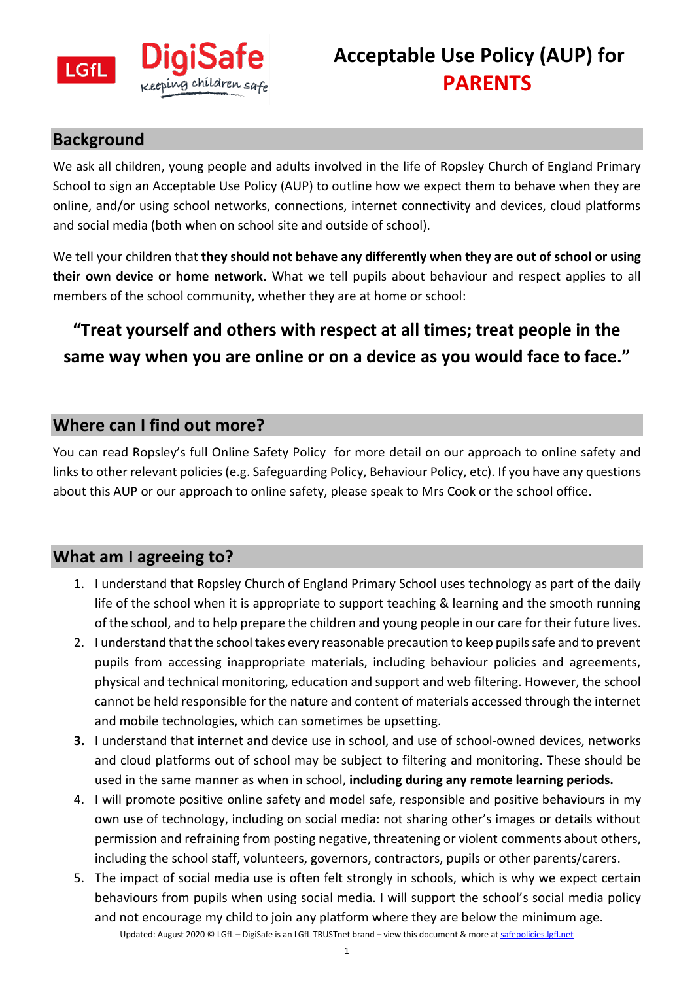

#### **Background**

We ask all children, young people and adults involved in the life of Ropsley Church of England Primary School to sign an Acceptable Use Policy (AUP) to outline how we expect them to behave when they are online, and/or using school networks, connections, internet connectivity and devices, cloud platforms and social media (both when on school site and outside of school).

We tell your children that **they should not behave any differently when they are out of school or using their own device or home network.** What we tell pupils about behaviour and respect applies to all members of the school community, whether they are at home or school:

## **"Treat yourself and others with respect at all times; treat people in the same way when you are online or on a device as you would face to face."**

### **Where can I find out more?**

You can read Ropsley's full Online Safety Policy for more detail on our approach to online safety and links to other relevant policies (e.g. Safeguarding Policy, Behaviour Policy, etc). If you have any questions about this AUP or our approach to online safety, please speak to Mrs Cook or the school office.

#### **What am I agreeing to?**

- 1. I understand that Ropsley Church of England Primary School uses technology as part of the daily life of the school when it is appropriate to support teaching & learning and the smooth running of the school, and to help prepare the children and young people in our care for their future lives.
- 2. I understand that the school takes every reasonable precaution to keep pupils safe and to prevent pupils from accessing inappropriate materials, including behaviour policies and agreements, physical and technical monitoring, education and support and web filtering. However, the school cannot be held responsible for the nature and content of materials accessed through the internet and mobile technologies, which can sometimes be upsetting.
- **3.** I understand that internet and device use in school, and use of school-owned devices, networks and cloud platforms out of school may be subject to filtering and monitoring. These should be used in the same manner as when in school, **including during any remote learning periods.**
- 4. I will promote positive online safety and model safe, responsible and positive behaviours in my own use of technology, including on social media: not sharing other's images or details without permission and refraining from posting negative, threatening or violent comments about others, including the school staff, volunteers, governors, contractors, pupils or other parents/carers.
- Updated: August 2020 © LGfL DigiSafe is an LGfL TRUSTnet brand view this document & more at safepolicies.lgfl.net 5. The impact of social media use is often felt strongly in schools, which is why we expect certain behaviours from pupils when using social media. I will support the school's social media policy and not encourage my child to join any platform where they are below the minimum age.